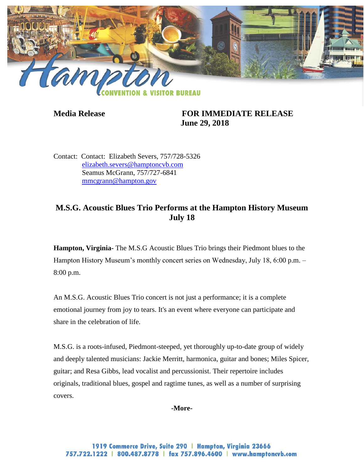

## **Media Release FOR IMMEDIATE RELEASE June 29, 2018**

Contact: Contact: Elizabeth Severs, 757/728-5326 [elizabeth.severs@hamptoncvb.com](mailto:elizabeth.severs@hamptoncvb.com) Seamus McGrann, 757/727-6841 [mmcgrann@hampton.gov](mailto:mmcgrann@hampton.gov)

## **M.S.G. Acoustic Blues Trio Performs at the Hampton History Museum July 18**

**Hampton, Virginia-** The M.S.G Acoustic Blues Trio brings their Piedmont blues to the Hampton History Museum's monthly concert series on Wednesday, July 18, 6:00 p.m. – 8:00 p.m.

An M.S.G. Acoustic Blues Trio concert is not just a performance; it is a complete emotional journey from joy to tears. It's an event where everyone can participate and share in the celebration of life.

M.S.G. is a roots-infused, Piedmont-steeped, yet thoroughly up-to-date group of widely and deeply talented musicians: Jackie Merritt, harmonica, guitar and bones; Miles Spicer, guitar; and Resa Gibbs, lead vocalist and percussionist. Their repertoire includes originals, traditional blues, gospel and ragtime tunes, as well as a number of surprising covers.

**-More-**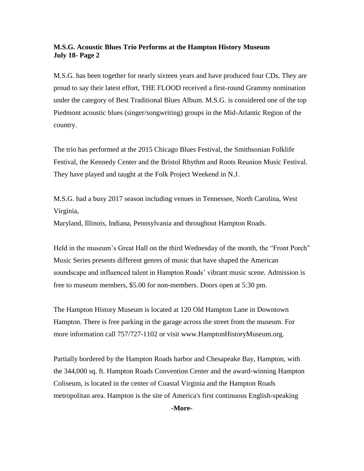## **M.S.G. Acoustic Blues Trio Performs at the Hampton History Museum July 18- Page 2**

M.S.G. has been together for nearly sixteen years and have produced four CDs. They are proud to say their latest effort, THE FLOOD received a first-round Grammy nomination under the category of Best Traditional Blues Album. M.S.G. is considered one of the top Piedmont acoustic blues (singer/songwriting) groups in the Mid-Atlantic Region of the country.

The trio has performed at the 2015 Chicago Blues Festival, the Smithsonian Folklife Festival, the Kennedy Center and the Bristol Rhythm and Roots Reunion Music Festival. They have played and taught at the Folk Project Weekend in N.J.

M.S.G. had a busy 2017 season including venues in Tennessee, North Carolina, West Virginia,

Maryland, Illinois, Indiana, Pennsylvania and throughout Hampton Roads.

Held in the museum's Great Hall on the third Wednesday of the month, the "Front Porch" Music Series presents different genres of music that have shaped the American soundscape and influenced talent in Hampton Roads' vibrant music scene. Admission is free to museum members, \$5.00 for non-members. Doors open at 5:30 pm.

The Hampton History Museum is located at 120 Old Hampton Lane in Downtown Hampton. There is free parking in the garage across the street from the museum. For more information call 757/727-1102 or visit www.HamptonHistoryMuseum.org.

Partially bordered by the Hampton Roads harbor and Chesapeake Bay, Hampton, with the 344,000 sq. ft. Hampton Roads Convention Center and the award-winning Hampton Coliseum, is located in the center of Coastal Virginia and the Hampton Roads metropolitan area. Hampton is the site of America's first continuous English-speaking

**-More-**